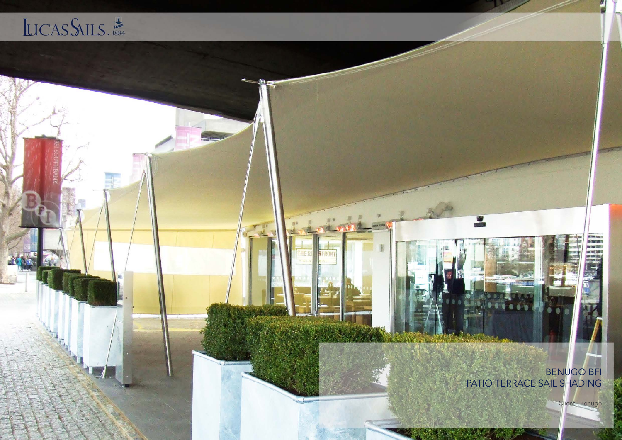## LICASSAILS.



BENUGO BFI<br>PATIO TERRACE SAIL SHADING

U

Client: Benugo

a 195.500 S